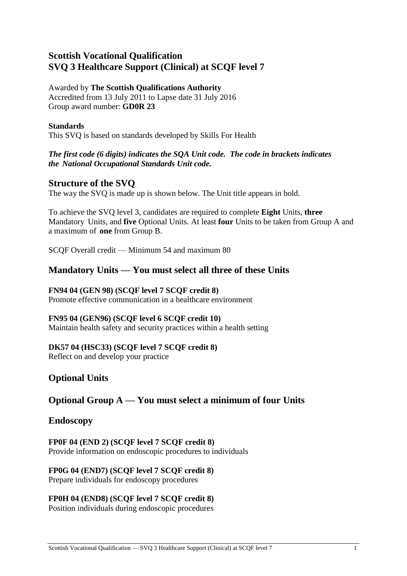# **Scottish Vocational Qualification SVQ 3 Healthcare Support (Clinical) at SCQF level 7**

# Awarded by **The Scottish Qualifications Authority**

Accredited from 13 July 2011 to Lapse date 31 July 2016 Group award number: **GD0R 23**

# **Standards**

This SVQ is based on standards developed by Skills For Health

# *The first code (6 digits) indicates the SQA Unit code. The code in brackets indicates the National Occupational Standards Unit code.*

# **Structure of the SVQ**

The way the SVQ is made up is shown below. The Unit title appears in bold.

To achieve the SVQ level 3, candidates are required to complete **Eight** Units, **three**  Mandatory Units, and **five** Optional Units. At least **four** Units to be taken from Group A and a maximum of **one** from Group B.

SCQF Overall credit — Minimum 54 and maximum 80

# **Mandatory Units — You must select all three of these Units**

# **FN94 04 (GEN 98) (SCQF level 7 SCQF credit 8)**

Promote effective communication in a healthcare environment

## **FN95 04 (GEN96) (SCQF level 6 SCQF credit 10)**

Maintain health safety and security practices within a health setting

# **DK57 04 (HSC33) (SCQF level 7 SCQF credit 8)**

Reflect on and develop your practice

# **Optional Units**

# **Optional Group A — You must select a minimum of four Units**

# **Endoscopy**

**FP0F 04 (END 2) (SCQF level 7 SCQF credit 8)** Provide information on endoscopic procedures to individuals

#### **FP0G 04 (END7) (SCQF level 7 SCQF credit 8)** Prepare individuals for endoscopy procedures

# **FP0H 04 (END8) (SCQF level 7 SCQF credit 8)**

Position individuals during endoscopic procedures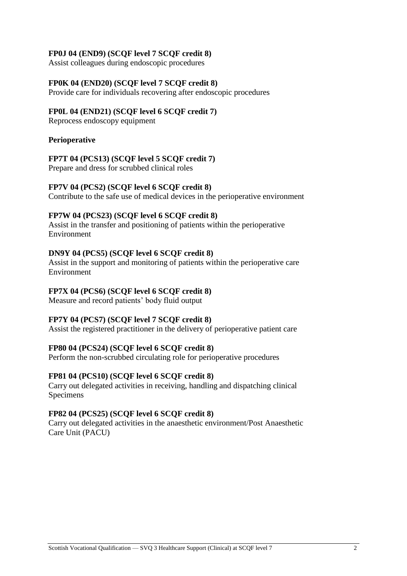### **FP0J 04 (END9) (SCQF level 7 SCQF credit 8)**

Assist colleagues during endoscopic procedures

### **FP0K 04 (END20) (SCQF level 7 SCQF credit 8)**

Provide care for individuals recovering after endoscopic procedures

### **FP0L 04 (END21) (SCQF level 6 SCQF credit 7)**

Reprocess endoscopy equipment

### **Perioperative**

### **FP7T 04 (PCS13) (SCQF level 5 SCQF credit 7)**

Prepare and dress for scrubbed clinical roles

### **FP7V 04 (PCS2) (SCQF level 6 SCQF credit 8)**

Contribute to the safe use of medical devices in the perioperative environment

### **FP7W 04 (PCS23) (SCQF level 6 SCQF credit 8)**

Assist in the transfer and positioning of patients within the perioperative Environment

### **DN9Y 04 (PCS5) (SCQF level 6 SCQF credit 8)**

Assist in the support and monitoring of patients within the perioperative care Environment

## **FP7X 04 (PCS6) (SCQF level 6 SCQF credit 8)**

Measure and record patients' body fluid output

## **FP7Y 04 (PCS7) (SCQF level 7 SCQF credit 8)**

Assist the registered practitioner in the delivery of perioperative patient care

#### **FP80 04 (PCS24) (SCQF level 6 SCQF credit 8)**

Perform the non-scrubbed circulating role for perioperative procedures

#### **FP81 04 (PCS10) (SCQF level 6 SCQF credit 8)**

Carry out delegated activities in receiving, handling and dispatching clinical Specimens

#### **FP82 04 (PCS25) (SCQF level 6 SCQF credit 8)**

Carry out delegated activities in the anaesthetic environment/Post Anaesthetic Care Unit (PACU)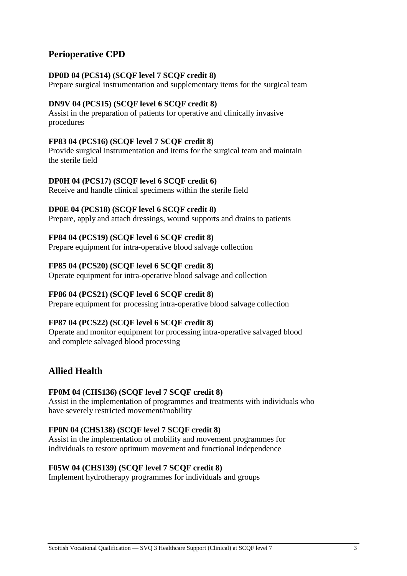# **Perioperative CPD**

## **DP0D 04 (PCS14) (SCQF level 7 SCQF credit 8)**

Prepare surgical instrumentation and supplementary items for the surgical team

## **DN9V 04 (PCS15) (SCQF level 6 SCQF credit 8)**

Assist in the preparation of patients for operative and clinically invasive procedures

### **FP83 04 (PCS16) (SCQF level 7 SCQF credit 8)**

Provide surgical instrumentation and items for the surgical team and maintain the sterile field

### **DP0H 04 (PCS17) (SCQF level 6 SCQF credit 6)**

Receive and handle clinical specimens within the sterile field

### **DP0E 04 (PCS18) (SCQF level 6 SCQF credit 8)**

Prepare, apply and attach dressings, wound supports and drains to patients

### **FP84 04 (PCS19) (SCQF level 6 SCQF credit 8)**

Prepare equipment for intra-operative blood salvage collection

### **FP85 04 (PCS20) (SCQF level 6 SCQF credit 8)**

Operate equipment for intra-operative blood salvage and collection

## **FP86 04 (PCS21) (SCQF level 6 SCQF credit 8)**

Prepare equipment for processing intra-operative blood salvage collection

## **FP87 04 (PCS22) (SCQF level 6 SCQF credit 8)**

Operate and monitor equipment for processing intra-operative salvaged blood and complete salvaged blood processing

# **Allied Health**

#### **FP0M 04 (CHS136) (SCQF level 7 SCQF credit 8)**

Assist in the implementation of programmes and treatments with individuals who have severely restricted movement/mobility

#### **FP0N 04 (CHS138) (SCQF level 7 SCQF credit 8)**

Assist in the implementation of mobility and movement programmes for individuals to restore optimum movement and functional independence

#### **F05W 04 (CHS139) (SCQF level 7 SCQF credit 8)**

Implement hydrotherapy programmes for individuals and groups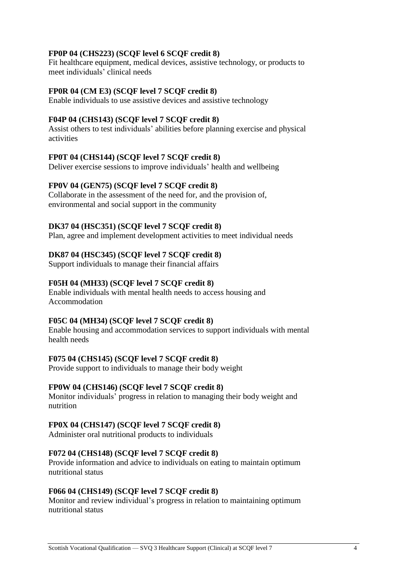## **FP0P 04 (CHS223) (SCQF level 6 SCQF credit 8)**

Fit healthcare equipment, medical devices, assistive technology, or products to meet individuals' clinical needs

#### **FP0R 04 (CM E3) (SCQF level 7 SCQF credit 8)**

Enable individuals to use assistive devices and assistive technology

#### **F04P 04 (CHS143) (SCQF level 7 SCQF credit 8)**

Assist others to test individuals' abilities before planning exercise and physical activities

#### **FP0T 04 (CHS144) (SCQF level 7 SCQF credit 8)**

Deliver exercise sessions to improve individuals' health and wellbeing

#### **FP0V 04 (GEN75) (SCQF level 7 SCQF credit 8)**

Collaborate in the assessment of the need for, and the provision of, environmental and social support in the community

#### **DK37 04 (HSC351) (SCQF level 7 SCQF credit 8)**

Plan, agree and implement development activities to meet individual needs

#### **DK87 04 (HSC345) (SCQF level 7 SCQF credit 8)**

Support individuals to manage their financial affairs

#### **F05H 04 (MH33) (SCQF level 7 SCQF credit 8)**

Enable individuals with mental health needs to access housing and Accommodation

#### **F05C 04 (MH34) (SCQF level 7 SCQF credit 8)**

Enable housing and accommodation services to support individuals with mental health needs

#### **F075 04 (CHS145) (SCQF level 7 SCQF credit 8)**

Provide support to individuals to manage their body weight

#### **FP0W 04 (CHS146) (SCQF level 7 SCQF credit 8)**

Monitor individuals' progress in relation to managing their body weight and nutrition

#### **FP0X 04 (CHS147) (SCQF level 7 SCQF credit 8)**

Administer oral nutritional products to individuals

#### **F072 04 (CHS148) (SCQF level 7 SCQF credit 8)**

Provide information and advice to individuals on eating to maintain optimum nutritional status

#### **F066 04 (CHS149) (SCQF level 7 SCQF credit 8)**

Monitor and review individual's progress in relation to maintaining optimum nutritional status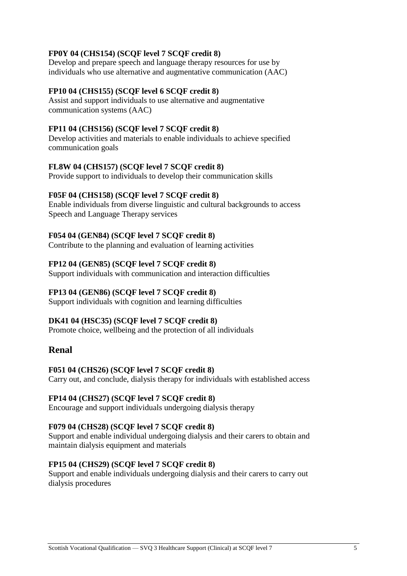# **FP0Y 04 (CHS154) (SCQF level 7 SCQF credit 8)**

Develop and prepare speech and language therapy resources for use by individuals who use alternative and augmentative communication (AAC)

### **FP10 04 (CHS155) (SCQF level 6 SCQF credit 8)**

Assist and support individuals to use alternative and augmentative communication systems (AAC)

### **FP11 04 (CHS156) (SCQF level 7 SCQF credit 8)**

Develop activities and materials to enable individuals to achieve specified communication goals

### **FL8W 04 (CHS157) (SCQF level 7 SCQF credit 8)**

Provide support to individuals to develop their communication skills

### **F05F 04 (CHS158) (SCQF level 7 SCQF credit 8)**

Enable individuals from diverse linguistic and cultural backgrounds to access Speech and Language Therapy services

### **F054 04 (GEN84) (SCQF level 7 SCQF credit 8)**

Contribute to the planning and evaluation of learning activities

### **FP12 04 (GEN85) (SCQF level 7 SCQF credit 8)**

Support individuals with communication and interaction difficulties

### **FP13 04 (GEN86) (SCQF level 7 SCQF credit 8)**

Support individuals with cognition and learning difficulties

## **DK41 04 (HSC35) (SCQF level 7 SCQF credit 8)**

Promote choice, wellbeing and the protection of all individuals

# **Renal**

## **F051 04 (CHS26) (SCQF level 7 SCQF credit 8)**

Carry out, and conclude, dialysis therapy for individuals with established access

#### **FP14 04 (CHS27) (SCQF level 7 SCQF credit 8)**

Encourage and support individuals undergoing dialysis therapy

#### **F079 04 (CHS28) (SCQF level 7 SCQF credit 8)**

Support and enable individual undergoing dialysis and their carers to obtain and maintain dialysis equipment and materials

#### **FP15 04 (CHS29) (SCQF level 7 SCQF credit 8)**

Support and enable individuals undergoing dialysis and their carers to carry out dialysis procedures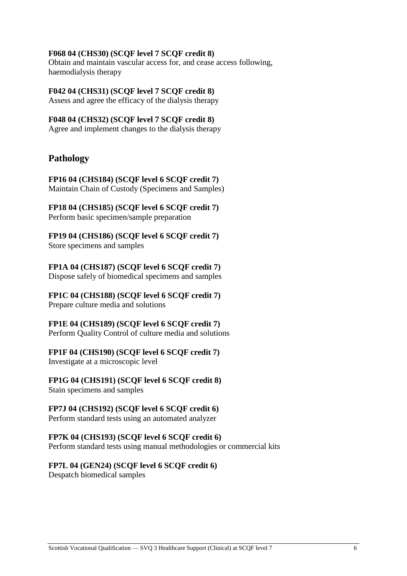### **F068 04 (CHS30) (SCQF level 7 SCQF credit 8)**

Obtain and maintain vascular access for, and cease access following, haemodialysis therapy

**F042 04 (CHS31) (SCQF level 7 SCQF credit 8)** Assess and agree the efficacy of the dialysis therapy

### **F048 04 (CHS32) (SCQF level 7 SCQF credit 8)** Agree and implement changes to the dialysis therapy

# **Pathology**

**FP16 04 (CHS184) (SCQF level 6 SCQF credit 7)** Maintain Chain of Custody (Specimens and Samples)

**FP18 04 (CHS185) (SCQF level 6 SCQF credit 7)** Perform basic specimen/sample preparation

**FP19 04 (CHS186) (SCQF level 6 SCQF credit 7)** Store specimens and samples

**FP1A 04 (CHS187) (SCQF level 6 SCQF credit 7)** Dispose safely of biomedical specimens and samples

**FP1C 04 (CHS188) (SCQF level 6 SCQF credit 7)** Prepare culture media and solutions

**FP1E 04 (CHS189) (SCQF level 6 SCQF credit 7)** Perform Quality Control of culture media and solutions

## **FP1F 04 (CHS190) (SCQF level 6 SCQF credit 7)**

Investigate at a microscopic level

**FP1G 04 (CHS191) (SCQF level 6 SCQF credit 8)** Stain specimens and samples

## **FP7J 04 (CHS192) (SCQF level 6 SCQF credit 6)**

Perform standard tests using an automated analyzer

#### **FP7K 04 (CHS193) (SCQF level 6 SCQF credit 6)**

Perform standard tests using manual methodologies or commercial kits

## **FP7L 04 (GEN24) (SCQF level 6 SCQF credit 6)**

Despatch biomedical samples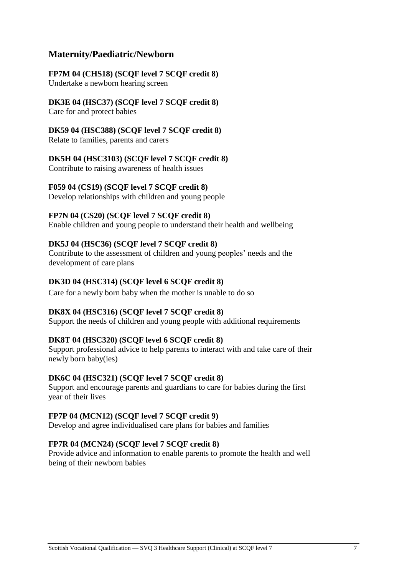# **Maternity/Paediatric/Newborn**

# **FP7M 04 (CHS18) (SCQF level 7 SCQF credit 8)**

Undertake a newborn hearing screen

# **DK3E 04 (HSC37) (SCQF level 7 SCQF credit 8)**

Care for and protect babies

# **DK59 04 (HSC388) (SCQF level 7 SCQF credit 8)**

Relate to families, parents and carers

# **DK5H 04 (HSC3103) (SCQF level 7 SCQF credit 8)**

Contribute to raising awareness of health issues

# **F059 04 (CS19) (SCQF level 7 SCQF credit 8)**

Develop relationships with children and young people

# **FP7N 04 (CS20) (SCQF level 7 SCQF credit 8)**

Enable children and young people to understand their health and wellbeing

# **DK5J 04 (HSC36) (SCQF level 7 SCQF credit 8)**

Contribute to the assessment of children and young peoples' needs and the development of care plans

# **DK3D 04 (HSC314) (SCQF level 6 SCQF credit 8)**

Care for a newly born baby when the mother is unable to do so

# **DK8X 04 (HSC316) (SCQF level 7 SCQF credit 8)**

Support the needs of children and young people with additional requirements

# **DK8T 04 (HSC320) (SCQF level 6 SCQF credit 8)**

Support professional advice to help parents to interact with and take care of their newly born baby(ies)

## **DK6C 04 (HSC321) (SCQF level 7 SCQF credit 8)**

Support and encourage parents and guardians to care for babies during the first year of their lives

## **FP7P 04 (MCN12) (SCQF level 7 SCQF credit 9)**

Develop and agree individualised care plans for babies and families

# **FP7R 04 (MCN24) (SCQF level 7 SCQF credit 8)**

Provide advice and information to enable parents to promote the health and well being of their newborn babies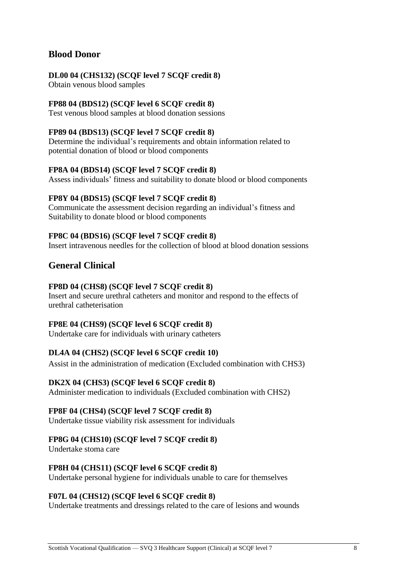# **Blood Donor**

# **DL00 04 (CHS132) (SCQF level 7 SCQF credit 8)**

Obtain venous blood samples

## **FP88 04 (BDS12) (SCQF level 6 SCQF credit 8)**

Test venous blood samples at blood donation sessions

## **FP89 04 (BDS13) (SCQF level 7 SCQF credit 8)**

Determine the individual's requirements and obtain information related to potential donation of blood or blood components

## **FP8A 04 (BDS14) (SCQF level 7 SCQF credit 8)**

Assess individuals' fitness and suitability to donate blood or blood components

# **FP8Y 04 (BDS15) (SCQF level 7 SCQF credit 8)**

Communicate the assessment decision regarding an individual's fitness and Suitability to donate blood or blood components

# **FP8C 04 (BDS16) (SCQF level 7 SCQF credit 8)**

Insert intravenous needles for the collection of blood at blood donation sessions

# **General Clinical**

## **FP8D 04 (CHS8) (SCQF level 7 SCQF credit 8)**

Insert and secure urethral catheters and monitor and respond to the effects of urethral catheterisation

## **FP8E 04 (CHS9) (SCQF level 6 SCQF credit 8)**

Undertake care for individuals with urinary catheters

# **DL4A 04 (CHS2) (SCQF level 6 SCQF credit 10)**

Assist in the administration of medication (Excluded combination with CHS3)

## **DK2X 04 (CHS3) (SCQF level 6 SCQF credit 8)**

Administer medication to individuals (Excluded combination with CHS2)

## **FP8F 04 (CHS4) (SCQF level 7 SCQF credit 8)**

Undertake tissue viability risk assessment for individuals

## **FP8G 04 (CHS10) (SCQF level 7 SCQF credit 8)**

Undertake stoma care

## **FP8H 04 (CHS11) (SCQF level 6 SCQF credit 8)**

Undertake personal hygiene for individuals unable to care for themselves

## **F07L 04 (CHS12) (SCQF level 6 SCQF credit 8)**

Undertake treatments and dressings related to the care of lesions and wounds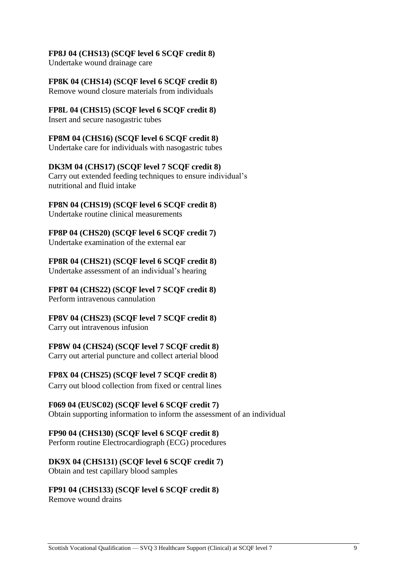## **FP8J 04 (CHS13) (SCQF level 6 SCQF credit 8)**

Undertake wound drainage care

# **FP8K 04 (CHS14) (SCQF level 6 SCQF credit 8)**

Remove wound closure materials from individuals

# **FP8L 04 (CHS15) (SCQF level 6 SCQF credit 8)**

Insert and secure nasogastric tubes

## **FP8M 04 (CHS16) (SCQF level 6 SCQF credit 8)**

Undertake care for individuals with nasogastric tubes

## **DK3M 04 (CHS17) (SCQF level 7 SCQF credit 8)**

Carry out extended feeding techniques to ensure individual's nutritional and fluid intake

## **FP8N 04 (CHS19) (SCQF level 6 SCQF credit 8)**

Undertake routine clinical measurements

#### **FP8P 04 (CHS20) (SCQF level 6 SCQF credit 7)** Undertake examination of the external ear

**FP8R 04 (CHS21) (SCQF level 6 SCQF credit 8)** Undertake assessment of an individual's hearing

#### **FP8T 04 (CHS22) (SCQF level 7 SCQF credit 8)** Perform intravenous cannulation

**FP8V 04 (CHS23) (SCQF level 7 SCQF credit 8)** Carry out intravenous infusion

# **FP8W 04 (CHS24) (SCQF level 7 SCQF credit 8)**

Carry out arterial puncture and collect arterial blood

## **FP8X 04 (CHS25) (SCQF level 7 SCQF credit 8)**

Carry out blood collection from fixed or central lines

## **F069 04 (EUSC02) (SCQF level 6 SCQF credit 7)**

Obtain supporting information to inform the assessment of an individual

## **FP90 04 (CHS130) (SCQF level 6 SCQF credit 8)**

Perform routine Electrocardiograph (ECG) procedures

# **DK9X 04 (CHS131) (SCQF level 6 SCQF credit 7)**

Obtain and test capillary blood samples

# **FP91 04 (CHS133) (SCQF level 6 SCQF credit 8)**

Remove wound drains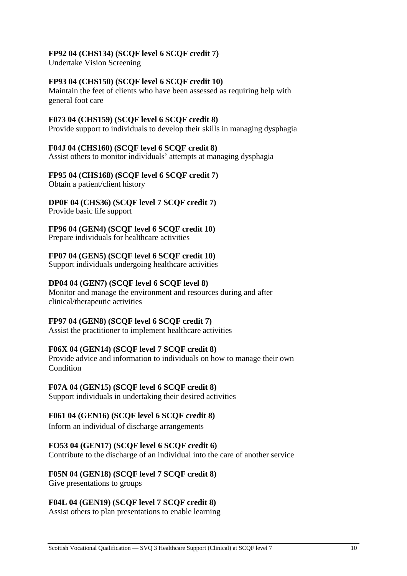# **FP92 04 (CHS134) (SCQF level 6 SCQF credit 7)**

Undertake Vision Screening

# **FP93 04 (CHS150) (SCQF level 6 SCQF credit 10)**

Maintain the feet of clients who have been assessed as requiring help with general foot care

## **F073 04 (CHS159) (SCQF level 6 SCQF credit 8)**

Provide support to individuals to develop their skills in managing dysphagia

### **F04J 04 (CHS160) (SCQF level 6 SCQF credit 8)**

Assist others to monitor individuals' attempts at managing dysphagia

### **FP95 04 (CHS168) (SCQF level 6 SCQF credit 7)**

Obtain a patient/client history

# **DP0F 04 (CHS36) (SCQF level 7 SCQF credit 7)**

Provide basic life support

## **FP96 04 (GEN4) (SCQF level 6 SCQF credit 10)**

Prepare individuals for healthcare activities

## **FP07 04 (GEN5) (SCQF level 6 SCQF credit 10)**

Support individuals undergoing healthcare activities

## **DP04 04 (GEN7) (SCQF level 6 SCQF level 8)**

Monitor and manage the environment and resources during and after clinical/therapeutic activities

## **FP97 04 (GEN8) (SCQF level 6 SCQF credit 7)**

Assist the practitioner to implement healthcare activities

## **F06X 04 (GEN14) (SCQF level 7 SCQF credit 8)**

Provide advice and information to individuals on how to manage their own Condition

## **F07A 04 (GEN15) (SCQF level 6 SCQF credit 8)**

Support individuals in undertaking their desired activities

## **F061 04 (GEN16) (SCQF level 6 SCQF credit 8)**

Inform an individual of discharge arrangements

## **FO53 04 (GEN17) (SCQF level 6 SCQF credit 6)**

Contribute to the discharge of an individual into the care of another service

#### **F05N 04 (GEN18) (SCQF level 7 SCQF credit 8)**

Give presentations to groups

## **F04L 04 (GEN19) (SCQF level 7 SCQF credit 8)**

Assist others to plan presentations to enable learning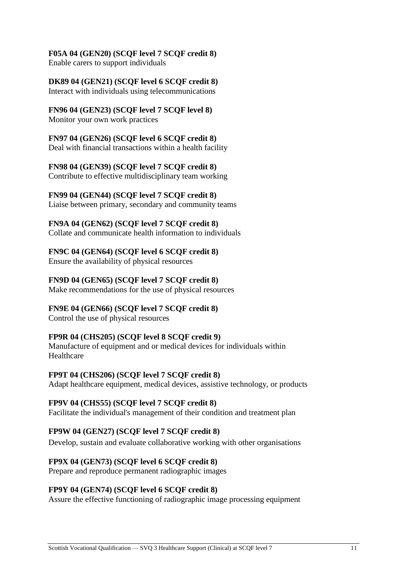## **F05A 04 (GEN20) (SCQF level 7 SCQF credit 8)**

Enable carers to support individuals

# **DK89 04 (GEN21) (SCQF level 6 SCQF credit 8)**

Interact with individuals using telecommunications

# **FN96 04 (GEN23) (SCQF level 7 SCQF level 8)**

Monitor your own work practices

## **FN97 04 (GEN26) (SCQF level 6 SCQF credit 8)**

Deal with financial transactions within a health facility

## **FN98 04 (GEN39) (SCQF level 7 SCQF credit 8)**

Contribute to effective multidisciplinary team working

## **FN99 04 (GEN44) (SCQF level 7 SCQF credit 8)**

Liaise between primary, secondary and community teams

### **FN9A 04 (GEN62) (SCQF level 7 SCQF credit 8)**

Collate and communicate health information to individuals

# **FN9C 04 (GEN64) (SCQF level 6 SCQF credit 8)**

Ensure the availability of physical resources

# **FN9D 04 (GEN65) (SCQF level 7 SCQF credit 8)**

Make recommendations for the use of physical resources

# **FN9E 04 (GEN66) (SCQF level 7 SCQF credit 8)**

Control the use of physical resources

# **FP9R 04 (CHS205) (SCQF level 8 SCQF credit 9)**

Manufacture of equipment and or medical devices for individuals within Healthcare

## **FP9T 04 (CHS206) (SCQF level 7 SCQF credit 8)**

Adapt healthcare equipment, medical devices, assistive technology, or products

## **FP9V 04 (CHS55) (SCQF level 7 SCQF credit 8)**

Facilitate the individual's management of their condition and treatment plan

## **FP9W 04 (GEN27) (SCQF level 7 SCQF credit 8)**

Develop, sustain and evaluate collaborative working with other organisations

## **FP9X 04 (GEN73) (SCQF level 6 SCQF credit 8)**

Prepare and reproduce permanent radiographic images

# **FP9Y 04 (GEN74) (SCQF level 6 SCQF credit 8)**

Assure the effective functioning of radiographic image processing equipment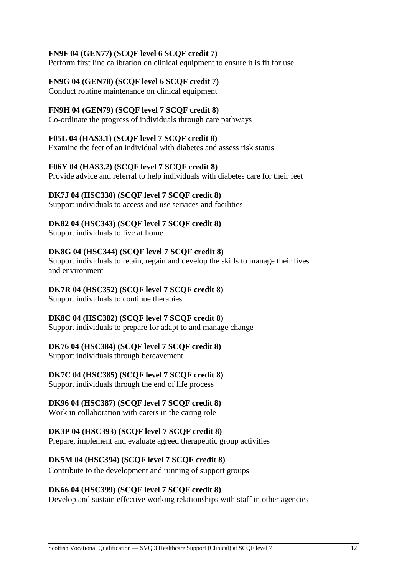# **FN9F 04 (GEN77) (SCQF level 6 SCQF credit 7)**

Perform first line calibration on clinical equipment to ensure it is fit for use

### **FN9G 04 (GEN78) (SCQF level 6 SCQF credit 7)**

Conduct routine maintenance on clinical equipment

### **FN9H 04 (GEN79) (SCQF level 7 SCQF credit 8)**

Co-ordinate the progress of individuals through care pathways

#### **F05L 04 (HAS3.1) (SCQF level 7 SCQF credit 8)**

Examine the feet of an individual with diabetes and assess risk status

### **F06Y 04 (HAS3.2) (SCQF level 7 SCQF credit 8)**

Provide advice and referral to help individuals with diabetes care for their feet

### **DK7J 04 (HSC330) (SCQF level 7 SCQF credit 8)**

Support individuals to access and use services and facilities

### **DK82 04 (HSC343) (SCQF level 7 SCQF credit 8)**

Support individuals to live at home

### **DK8G 04 (HSC344) (SCQF level 7 SCQF credit 8)**

Support individuals to retain, regain and develop the skills to manage their lives and environment

### **DK7R 04 (HSC352) (SCQF level 7 SCQF credit 8)**

Support individuals to continue therapies

#### **DK8C 04 (HSC382) (SCQF level 7 SCQF credit 8)**

Support individuals to prepare for adapt to and manage change

## **DK76 04 (HSC384) (SCQF level 7 SCQF credit 8)**

Support individuals through bereavement

## **DK7C 04 (HSC385) (SCQF level 7 SCQF credit 8)**

Support individuals through the end of life process

#### **DK96 04 (HSC387) (SCQF level 7 SCQF credit 8)**

Work in collaboration with carers in the caring role

#### **DK3P 04 (HSC393) (SCQF level 7 SCQF credit 8)**

Prepare, implement and evaluate agreed therapeutic group activities

## **DK5M 04 (HSC394) (SCQF level 7 SCQF credit 8)**

Contribute to the development and running of support groups

#### **DK66 04 (HSC399) (SCQF level 7 SCQF credit 8)**

Develop and sustain effective working relationships with staff in other agencies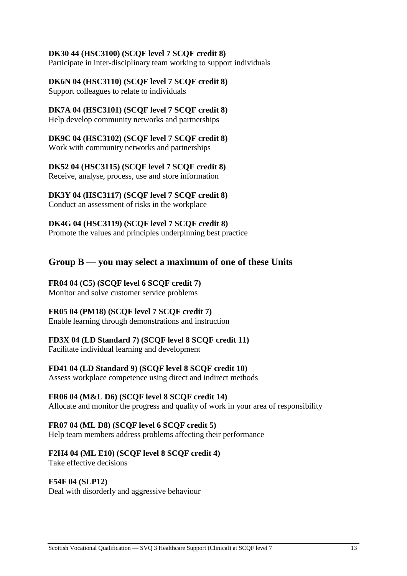## **DK30 44 (HSC3100) (SCQF level 7 SCQF credit 8)**

Participate in inter-disciplinary team working to support individuals

## **DK6N 04 (HSC3110) (SCQF level 7 SCQF credit 8)**

Support colleagues to relate to individuals

### **DK7A 04 (HSC3101) (SCQF level 7 SCQF credit 8)**

Help develop community networks and partnerships

## **DK9C 04 (HSC3102) (SCQF level 7 SCQF credit 8)**

Work with community networks and partnerships

## **DK52 04 (HSC3115) (SCQF level 7 SCQF credit 8)**

Receive, analyse, process, use and store information

### **DK3Y 04 (HSC3117) (SCQF level 7 SCQF credit 8)**

Conduct an assessment of risks in the workplace

### **DK4G 04 (HSC3119) (SCQF level 7 SCQF credit 8)**

Promote the values and principles underpinning best practice

# **Group B — you may select a maximum of one of these Units**

### **FR04 04 (C5) (SCQF level 6 SCQF credit 7)**

Monitor and solve customer service problems

## **FR05 04 (PM18) (SCQF level 7 SCQF credit 7)**

Enable learning through demonstrations and instruction

## **FD3X 04 (LD Standard 7) (SCQF level 8 SCQF credit 11)**

Facilitate individual learning and development

## **FD41 04 (LD Standard 9) (SCQF level 8 SCQF credit 10)**

Assess workplace competence using direct and indirect methods

## **FR06 04 (M&L D6) (SCQF level 8 SCQF credit 14)**

Allocate and monitor the progress and quality of work in your area of responsibility

## **FR07 04 (ML D8) (SCQF level 6 SCQF credit 5)**

Help team members address problems affecting their performance

## **F2H4 04 (ML E10) (SCQF level 8 SCQF credit 4)**

Take effective decisions

#### **F54F 04 (SLP12)**

Deal with disorderly and aggressive behaviour